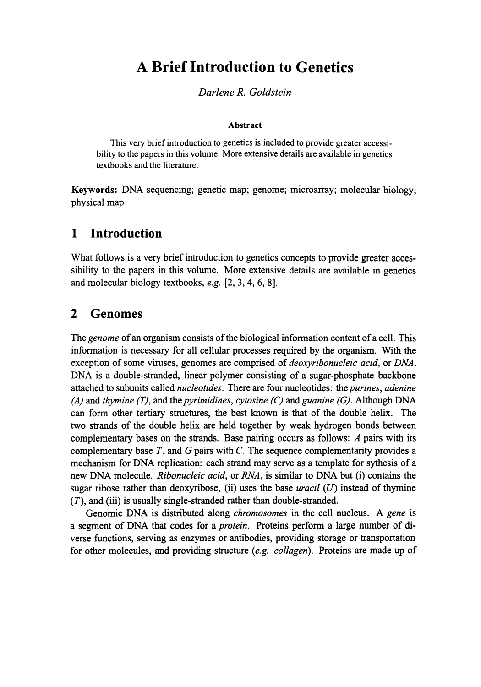# **A Brief Introduction to Genetics**

#### *DarleneR. Goldstein*

#### Abstract

This very brief introduction to genetics is included to provide greater accessi bility to the papers in this volume. More extensive details are available in genetics textbooks and the literature.

Keywords: DNA sequencing; genetic map; genome; microarray; molecular biology; physical map

#### **1 Introduction**

What follows is a very brief introduction to genetics concepts to provide greater accessibility to the papers in this volume. More extensive details are available in genetics and molecular biology textbooks, *e.g.* [2, 3, 4, 6, 8].

#### **2 Genomes**

The *genome* of an organism consists of the biological information content of a cell. This information is necessary for all cellular processes required by the organism. With the exception of some viruses, genomes are comprised of *deoxyήbonucleic acid,* or *DNA.* DNA is a double-stranded, linear polymer consisting of a sugar-phosphate backbone attached to subunits called *nucleotides.* There are four nucleotides: the*purines, adenine (A)* and *thymine (T),* and the *pyrimidines, cytosine (C) mάguanine (G).* Although DNA can form other tertiary structures, the best known is that of the double helix. The two strands of the double helix are held together by weak hydrogen bonds between complementary bases on the strands. Base pairing occurs as follows: *A* pairs with its complementary base Γ, and *G* pairs with *C.* The sequence complementarity provides a mechanism for DNA replication: each strand may serve as a template for sythesis of a new DNA molecule. *Ribonucleic acid,* or *RNA,* is similar to DNA but (i) contains the sugar ribose rather than deoxyribose, (ii) uses the base *uracil (U)* instead of thymine (Γ), and (iii) is usually single-stranded rather than double-stranded.

Genomic DNA is distributed along *chromosomes* in the cell nucleus. A *gene* is a segment of DNA that codes for a *protein.* Proteins perform a large number of di verse functions, serving as enzymes or antibodies, providing storage or transportation for other molecules, and providing structure *(e.g. collagen).* Proteins are made up of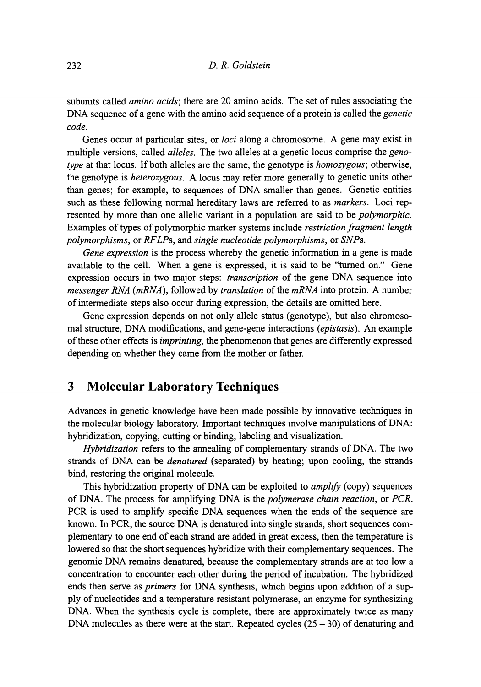subunits called *amino acids;* there are 20 amino acids. The set of rules associating the DNA sequence of a gene with the amino acid sequence of a protein is called the *genetic code.*

Genes occur at particular sites, or *loci* along a chromosome. A gene may exist in multiple versions, called *alleles.* The two alleles at a genetic locus comprise the *genotype* at that locus. If both alleles are the same, the genotype is *homozygous;* otherwise, the genotype is *heterozygous.* A locus may refer more generally to genetic units other than genes; for example, to sequences of DNA smaller than genes. Genetic entities such as these following normal hereditary laws are referred to as *markers.* Loci represented by more than one allelic variant in a population are said to be *polymorphic.* Examples of types of polymorphic marker systems include *restriction fragment length polymorphisms,* or *RFLPs,* and *single nucleotide polymorphisms,* or *SNPs.*

*Gene expression* is the process whereby the genetic information in a gene is made available to the cell. When a gene is expressed, it is said to be "turned on." Gene expression occurs in two major steps: *transcription* of the gene DNA sequence into *messenger RNA (mRNA),* followed by *translation* of the *mRNA* into protein. A number of intermediate steps also occur during expression, the details are omitted here.

Gene expression depends on not only allele status (genotype), but also chromosomal structure, DNA modifications, and gene-gene interactions *(epistasis).* An example of these other effects is *imprinting,* the phenomenon that genes are differently expressed depending on whether they came from the mother or father.

### **3 Molecular Laboratory Techniques**

Advances in genetic knowledge have been made possible by innovative techniques in the molecular biology laboratory. Important techniques involve manipulations of DNA: hybridization, copying, cutting or binding, labeling and visualization.

*Hybridization* refers to the annealing of complementary strands of DNA. The two strands of DNA can be *denatured* (separated) by heating; upon cooling, the strands bind, restoring the original molecule.

This hybridization property of DNA can be exploited to *amplify* (copy) sequences of DNA. The process for amplifying DNA is the *polymerase chain reaction,* or *PCR.* PCR is used to amplify specific DNA sequences when the ends of the sequence are known. In PCR, the source DNA is denatured into single strands, short sequences complementary to one end of each strand are added in great excess, then the temperature is lowered so that the short sequences hybridize with their complementary sequences. The genomic DNA remains denatured, because the complementary strands are at too low a concentration to encounter each other during the period of incubation. The hybridized ends then serve as *primers* for DNA synthesis, which begins upon addition of a supply of nucleotides and a temperature resistant polymerase, an enzyme for synthesizing DNA. When the synthesis cycle is complete, there are approximately twice as many DNA molecules as there were at the start. Repeated cycles  $(25 - 30)$  of denaturing and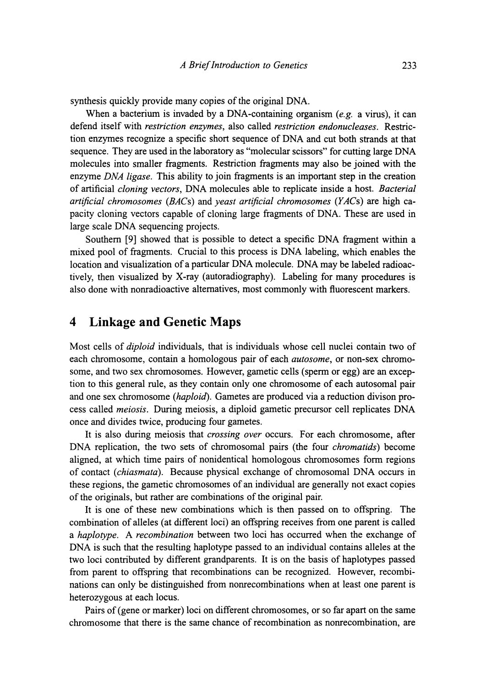synthesis quickly provide many copies of the original DNA.

When a bacterium is invaded by a DNA-containing organism *(e.g.* a virus), it can defend itself with *restriction enzymes,* also called *restriction endonucleases.* Restriction enzymes recognize a specific short sequence of DNA and cut both strands at that sequence. They are used in the laboratory as "molecular scissors" for cutting large DNA molecules into smaller fragments. Restriction fragments may also be joined with the enzyme *DNA ligase.* This ability to join fragments is an important step in the creation of artificial *cloning vectors,* DNA molecules able to replicate inside a host. *Bacterial artificial chromosomes (BACs)* and *yeast artificial chromosomes (YACs)* are high capacity cloning vectors capable of cloning large fragments of DNA. These are used in large scale DNA sequencing projects.

Southern [9] showed that is possible to detect a specific DNA fragment within a mixed pool of fragments. Crucial to this process is DNA labeling, which enables the location and visualization of a particular DNA molecule. DNA may be labeled radioactively, then visualized by X-ray (autoradiography). Labeling for many procedures is also done with nonradioactive alternatives, most commonly with fluorescent markers.

#### **4 Linkage and Genetic Maps**

Most cells of *diploid* individuals, that is individuals whose cell nuclei contain two of each chromosome, contain a homologous pair of each *autosome,* or non-sex chromosome, and two sex chromosomes. However, gametic cells (sperm or egg) are an exception to this general rule, as they contain only one chromosome of each autosomal pair and one sex chromosome *(haploid).* Gametes are produced via a reduction divison process called *meiosis.* During meiosis, a diploid gametic precursor cell replicates DNA once and divides twice, producing four gametes.

It is also during meiosis that *crossing over* occurs. For each chromosome, after DNA replication, the two sets of chromosomal pairs (the four *chromatids)* become aligned, at which time pairs of nonidentical homologous chromosomes form regions of contact *(chiasmata).* Because physical exchange of chromosomal DNA occurs in these regions, the gametic chromosomes of an individual are generally not exact copies of the originals, but rather are combinations of the original pair.

It is one of these new combinations which is then passed on to offspring. The combination of alleles (at different loci) an offspring receives from one parent is called a *haplotype. A recombination* between two loci has occurred when the exchange of DNA is such that the resulting haplotype passed to an individual contains alleles at the two loci contributed by different grandparents. It is on the basis of haplotypes passed from parent to offspring that recombinations can be recognized. However, recombinations can only be distinguished from nonrecombinations when at least one parent is heterozygous at each locus.

Pairs of (gene or marker) loci on different chromosomes, or so far apart on the same chromosome that there is the same chance of recombination as nonrecombination, are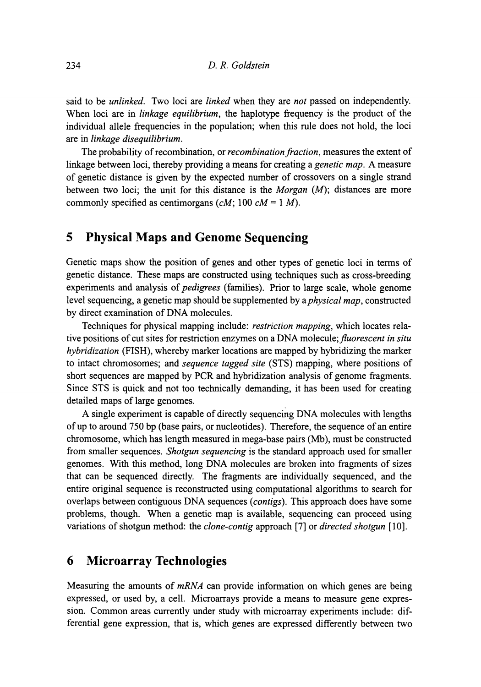said to be *unlinked.* Two loci are *linked* when they are *not* passed on independently. When loci are in *linkage equilibrium,* the haplotype frequency is the product of the individual allele frequencies in the population; when this rule does not hold, the loci are in *linkage disequilibrium.*

The probability of recombination, or *recombination fraction,* measures the extent of linkage between loci, thereby providing a means for creating a *genetic map.* A measure of genetic distance is given by the expected number of crossovers on a single strand between two loci; the unit for this distance is the *Morgan (M);* distances are more commonly specified as centimorgans *(cM;* 100 *cM=* 1 *M).*

## **5 Physical Maps and Genome Sequencing**

Genetic maps show the position of genes and other types of genetic loci in terms of genetic distance. These maps are constructed using techniques such as cross-breeding experiments and analysis of *pedigrees* (families). Prior to large scale, whole genome level sequencing, a genetic map should be supplemented by *& physical map,* constructed by direct examination of DNA molecules.

Techniques for physical mapping include: *restriction mapping,* which locates relative positions of cut sites for restriction enzymes on a DNA *molecule, fluorescent in situ hybridization* (FISH), whereby marker locations are mapped by hybridizing the marker to intact chromosomes; and *sequence tagged site* (STS) mapping, where positions of short sequences are mapped by PCR and hybridization analysis of genome fragments. Since STS is quick and not too technically demanding, it has been used for creating detailed maps of large genomes.

A single experiment is capable of directly sequencing DNA molecules with lengths of up to around 750 bp (base pairs, or nucleotides). Therefore, the sequence of an entire chromosome, which has length measured in mega-base pairs (Mb), must be constructed from smaller sequences. *Shotgun sequencing* is the standard approach used for smaller genomes. With this method, long DNA molecules are broken into fragments of sizes that can be sequenced directly. The fragments are individually sequenced, and the entire original sequence is reconstructed using computational algorithms to search for overlaps between contiguous DNA sequences *(contigs).* This approach does have some problems, though. When a genetic map is available, sequencing can proceed using variations of shotgun method: the *clone-contig* approach [7] or *directed shotgun* [10].

#### **6 Microarray Technologies**

Measuring the amounts of *mRNA* can provide information on which genes are being expressed, or used by, a cell. Microarrays provide a means to measure gene expression. Common areas currently under study with microarray experiments include: differential gene expression, that is, which genes are expressed differently between two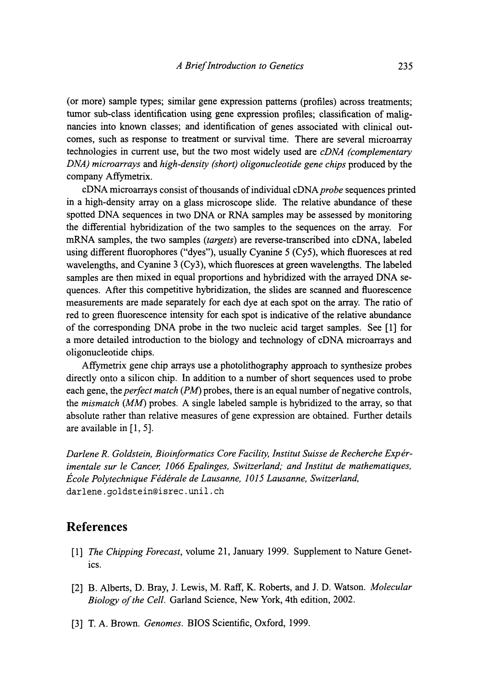(or more) sample types; similar gene expression patterns (profiles) across treatments; tumor sub-class identification using gene expression profiles; classification of malig nancies into known classes; and identification of genes associated with clinical out comes, such as response to treatment or survival time. There are several microarray technologies in current use, but the two most widely used are *cDNΛ (complementary DNA) microarrays* and *high-density (short) oligonucleotide gene chips* produced by the company Affymetrix.

cDNA microarrays consist of thousands of individual cDNA probe sequences printed in a high-density array on a glass microscope slide. The relative abundance of these spotted DNA sequences in two DNA or RNA samples may be assessed by monitoring the differential hybridization of the two samples to the sequences on the array. For mRNA samples, the two samples *(targets)* are reverse-transcribed into cDNA, labeled using different fluorophores ("dyes"), usually Cyanine 5 (Cy5), which fluoresces at red wavelengths, and Cyanine 3 (Cy3), which fluoresces at green wavelengths. The labeled samples are then mixed in equal proportions and hybridized with the arrayed DNA se quences. After this competitive hybridization, the slides are scanned and fluorescence measurements are made separately for each dye at each spot on the array. The ratio of red to green fluorescence intensity for each spot is indicative of the relative abundance of the corresponding DNA probe in the two nucleic acid target samples. See [1] for a more detailed introduction to the biology and technology of cDNA microarrays and oligonucleotide chips.

Aflymetrix gene chip arrays use a photolithography approach to synthesize probes directly onto a silicon chip. In addition to a number of short sequences used to probe each gene, the *perfect match (PM)* probes, there is an equal number of negative controls, the *mismatch (MM)* probes. A single labeled sample is hybridized to the array, so that absolute rather than relative measures of gene expression are obtained. Further details are available in [1, 5].

*Darlene R. Goldstein, Bioinformatics Core Facility, Institut Suisse de Recherche Expέrimentale sur le Cancer, 1066 Epalinges, Switzerland; and Institut de mathematiques, Ecole Polytechnique Fέdέrale de Lausanne, 1015 Lausanne, Switzerland,* darlene.goldstein@isrec.unil.ch

#### **References**

- [1] *The Chipping Forecast,* volume 21, January 1999. Supplement to Nature Genet ics.
- [2] B. Alberts, D. Bray, J. Lewis, M. Raff, K. Roberts, and J. D. Watson. *Molecular Biology of the Cell* Garland Science, New York, 4th edition, 2002.
- [3] T. A. Brown. *Genomes.* BIOS Scientific, Oxford, 1999.